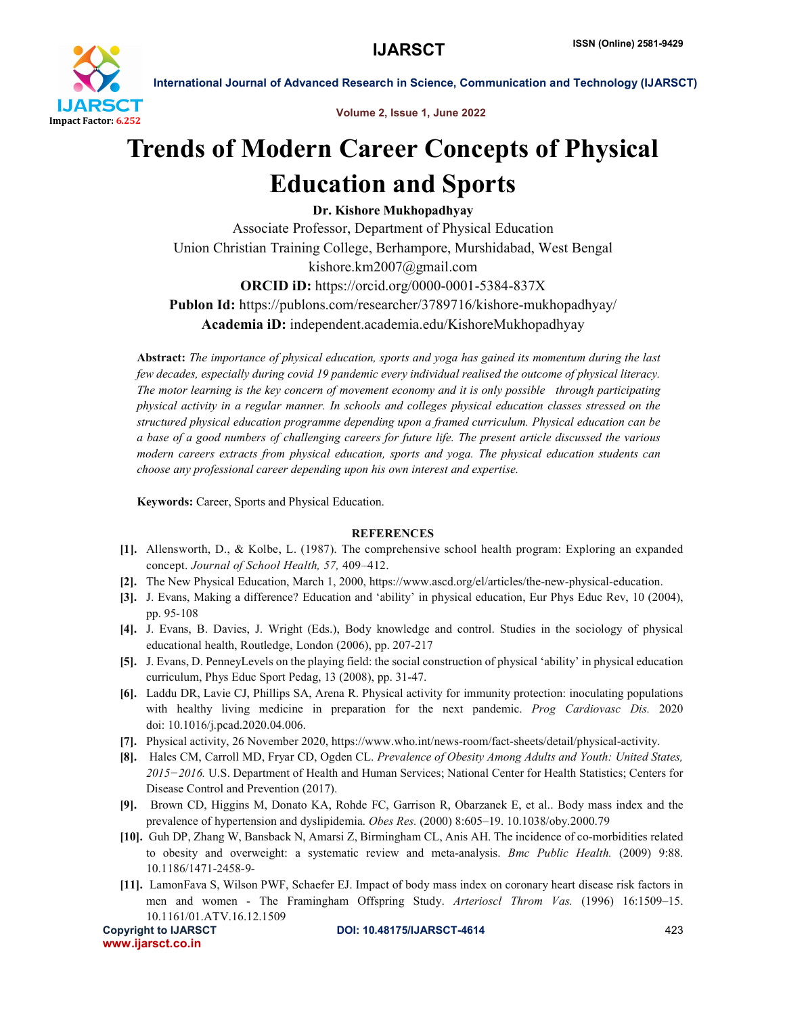

Volume 2, Issue 1, June 2022

International Journal of Advanced Research in Science, Communication and Technology (IJARSCT)

# Trends of Modern Career Concepts of Physical Education and Sports

Dr. Kishore Mukhopadhyay

Associate Professor, Department of Physical Education Union Christian Training College, Berhampore, Murshidabad, West Bengal kishore.km2007@gmail.com ORCID iD: https://orcid.org/0000-0001-5384-837X Publon Id: https://publons.com/researcher/3789716/kishore-mukhopadhyay/ Academia iD: independent.academia.edu/KishoreMukhopadhyay

Abstract: *The importance of physical education, sports and yoga has gained its momentum during the last few decades, especially during covid 19 pandemic every individual realised the outcome of physical literacy. The motor learning is the key concern of movement economy and it is only possible through participating physical activity in a regular manner. In schools and colleges physical education classes stressed on the structured physical education programme depending upon a framed curriculum. Physical education can be a base of a good numbers of challenging careers for future life. The present article discussed the various modern careers extracts from physical education, sports and yoga. The physical education students can choose any professional career depending upon his own interest and expertise.*

Keywords: Career, Sports and Physical Education.

# **REFERENCES**

- [1]. Allensworth, D., & Kolbe, L. (1987). The comprehensive school health program: Exploring an expanded concept. *Journal of School Health, 57,* 409–412.
- [2]. The New Physical Education, March 1, 2000, https://www.ascd.org/el/articles/the-new-physical-education.
- [3]. J. Evans, Making a difference? Education and 'ability' in physical education, Eur Phys Educ Rev, 10 (2004), pp. 95-108
- [4]. J. Evans, B. Davies, J. Wright (Eds.), Body knowledge and control. Studies in the sociology of physical educational health, Routledge, London (2006), pp. 207-217
- [5]. J. Evans, D. PenneyLevels on the playing field: the social construction of physical 'ability' in physical education curriculum, Phys Educ Sport Pedag, 13 (2008), pp. 31-47.
- [6]. Laddu DR, Lavie CJ, Phillips SA, Arena R. Physical activity for immunity protection: inoculating populations with healthy living medicine in preparation for the next pandemic. *Prog Cardiovasc Dis.* 2020 doi: 10.1016/j.pcad.2020.04.006.
- [7]. Physical activity, 26 November 2020, https://www.who.int/news-room/fact-sheets/detail/physical-activity.
- [8]. Hales CM, Carroll MD, Fryar CD, Ogden CL. *Prevalence of Obesity Among Adults and Youth: United States,*  2015-2016. U.S. Department of Health and Human Services; National Center for Health Statistics; Centers for Disease Control and Prevention (2017).
- [9]. Brown CD, Higgins M, Donato KA, Rohde FC, Garrison R, Obarzanek E, et al.. Body mass index and the prevalence of hypertension and dyslipidemia. *Obes Res.* (2000) 8:605–19. 10.1038/oby.2000.79
- [10]. Guh DP, Zhang W, Bansback N, Amarsi Z, Birmingham CL, Anis AH. The incidence of co-morbidities related to obesity and overweight: a systematic review and meta-analysis. *Bmc Public Health.* (2009) 9:88. 10.1186/1471-2458-9-
- [11]. LamonFava S, Wilson PWF, Schaefer EJ. Impact of body mass index on coronary heart disease risk factors in men and women - The Framingham Offspring Study. *Arterioscl Throm Vas.* (1996) 16:1509–15. 10.1161/01.ATV.16.12.1509

www.ijarsct.co.in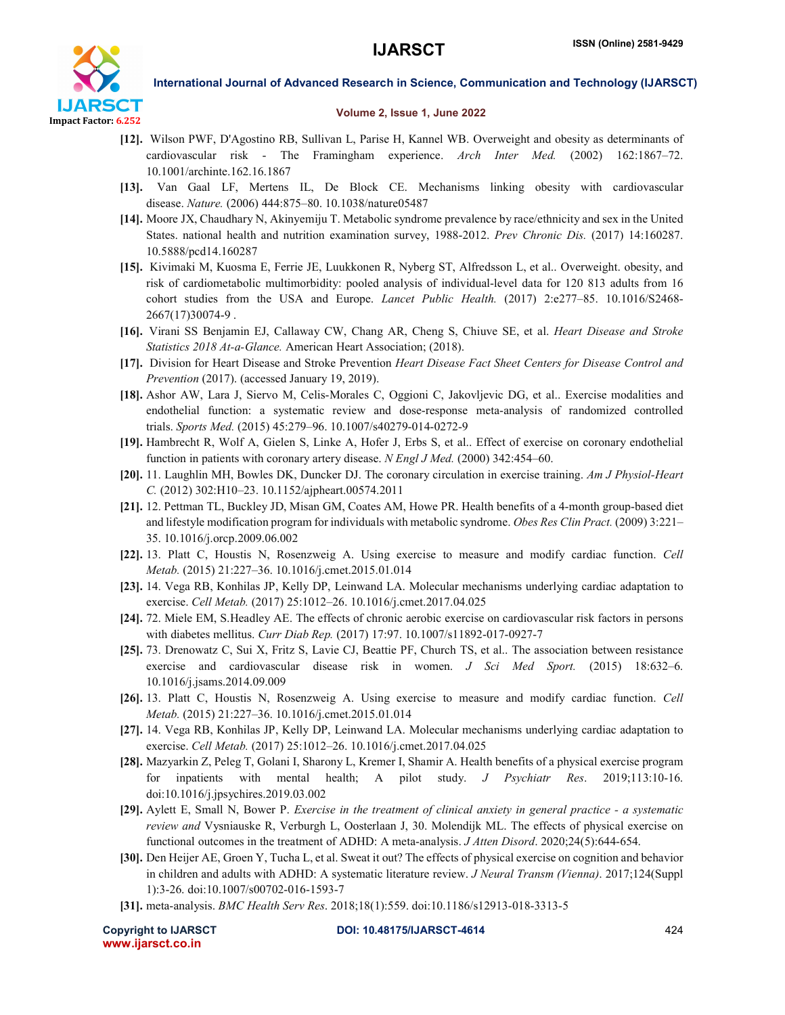

### International Journal of Advanced Research in Science, Communication and Technology (IJARSCT)

# Volume 2, Issue 1, June 2022

- [12]. Wilson PWF, D'Agostino RB, Sullivan L, Parise H, Kannel WB. Overweight and obesity as determinants of cardiovascular risk - The Framingham experience. *Arch Inter Med.* (2002) 162:1867–72. 10.1001/archinte.162.16.1867
- [13]. Van Gaal LF, Mertens IL, De Block CE. Mechanisms linking obesity with cardiovascular disease. *Nature.* (2006) 444:875–80. 10.1038/nature05487
- [14]. Moore JX, Chaudhary N, Akinyemiju T. Metabolic syndrome prevalence by race/ethnicity and sex in the United States. national health and nutrition examination survey, 1988-2012. *Prev Chronic Dis.* (2017) 14:160287. 10.5888/pcd14.160287
- [15]. Kivimaki M, Kuosma E, Ferrie JE, Luukkonen R, Nyberg ST, Alfredsson L, et al.. Overweight. obesity, and risk of cardiometabolic multimorbidity: pooled analysis of individual-level data for 120 813 adults from 16 cohort studies from the USA and Europe. *Lancet Public Health.* (2017) 2:e277–85. 10.1016/S2468- 2667(17)30074-9 .
- [16]. Virani SS Benjamin EJ, Callaway CW, Chang AR, Cheng S, Chiuve SE, et al. *Heart Disease and Stroke Statistics 2018 At-a-Glance.* American Heart Association; (2018).
- [17]. Division for Heart Disease and Stroke Prevention *Heart Disease Fact Sheet Centers for Disease Control and Prevention* (2017). (accessed January 19, 2019).
- [18]. Ashor AW, Lara J, Siervo M, Celis-Morales C, Oggioni C, Jakovljevic DG, et al.. Exercise modalities and endothelial function: a systematic review and dose-response meta-analysis of randomized controlled trials. *Sports Med.* (2015) 45:279–96. 10.1007/s40279-014-0272-9
- [19]. Hambrecht R, Wolf A, Gielen S, Linke A, Hofer J, Erbs S, et al.. Effect of exercise on coronary endothelial function in patients with coronary artery disease. *N Engl J Med.* (2000) 342:454–60.
- [20]. 11. Laughlin MH, Bowles DK, Duncker DJ. The coronary circulation in exercise training. *Am J Physiol-Heart C.* (2012) 302:H10–23. 10.1152/ajpheart.00574.2011
- [21]. 12. Pettman TL, Buckley JD, Misan GM, Coates AM, Howe PR. Health benefits of a 4-month group-based diet and lifestyle modification program for individuals with metabolic syndrome. *Obes Res Clin Pract.* (2009) 3:221– 35. 10.1016/j.orcp.2009.06.002
- [22]. 13. Platt C, Houstis N, Rosenzweig A. Using exercise to measure and modify cardiac function. *Cell Metab.* (2015) 21:227–36. 10.1016/j.cmet.2015.01.014
- [23]. 14. Vega RB, Konhilas JP, Kelly DP, Leinwand LA. Molecular mechanisms underlying cardiac adaptation to exercise. *Cell Metab.* (2017) 25:1012–26. 10.1016/j.cmet.2017.04.025
- [24]. 72. Miele EM, S.Headley AE. The effects of chronic aerobic exercise on cardiovascular risk factors in persons with diabetes mellitus. *Curr Diab Rep.* (2017) 17:97. 10.1007/s11892-017-0927-7
- [25]. 73. Drenowatz C, Sui X, Fritz S, Lavie CJ, Beattie PF, Church TS, et al.. The association between resistance exercise and cardiovascular disease risk in women. *J Sci Med Sport.* (2015) 18:632–6. 10.1016/j.jsams.2014.09.009
- [26]. 13. Platt C, Houstis N, Rosenzweig A. Using exercise to measure and modify cardiac function. *Cell Metab.* (2015) 21:227–36. 10.1016/j.cmet.2015.01.014
- [27]. 14. Vega RB, Konhilas JP, Kelly DP, Leinwand LA. Molecular mechanisms underlying cardiac adaptation to exercise. *Cell Metab.* (2017) 25:1012–26. 10.1016/j.cmet.2017.04.025
- [28]. Mazyarkin Z, Peleg T, Golani I, Sharony L, Kremer I, Shamir A. Health benefits of a physical exercise program for inpatients with mental health; A pilot study. *J Psychiatr Res*. 2019;113:10-16. doi:10.1016/j.jpsychires.2019.03.002
- [29]. Aylett E, Small N, Bower P. *Exercise in the treatment of clinical anxiety in general practice - a systematic review and* Vysniauske R, Verburgh L, Oosterlaan J, 30. Molendijk ML. The effects of physical exercise on functional outcomes in the treatment of ADHD: A meta-analysis. *J Atten Disord*. 2020;24(5):644-654.
- [30]. Den Heijer AE, Groen Y, Tucha L, et al. Sweat it out? The effects of physical exercise on cognition and behavior in children and adults with ADHD: A systematic literature review. *J Neural Transm (Vienna)*. 2017;124(Suppl 1):3-26. doi:10.1007/s00702-016-1593-7
- [31]. meta-analysis. *BMC Health Serv Res*. 2018;18(1):559. doi:10.1186/s12913-018-3313-5

www.ijarsct.co.in